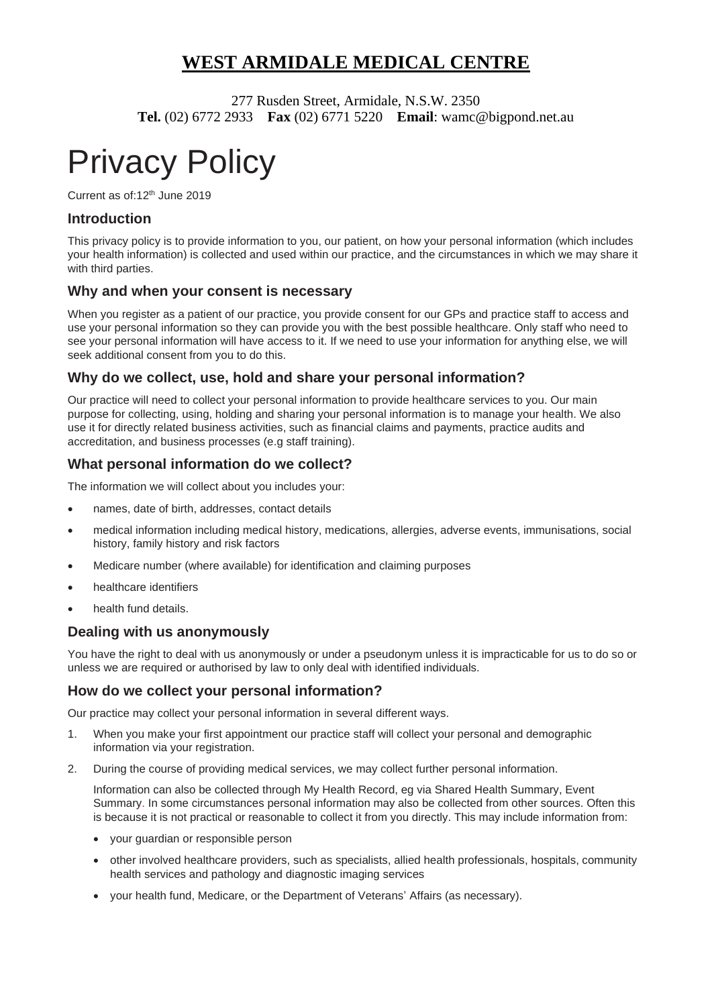# **WEST ARMIDALE MEDICAL CENTRE**

277 Rusden Street, Armidale, N.S.W. 2350 **Tel.** (02) 6772 2933 **Fax** (02) 6771 5220 **Email**: wamc@bigpond.net.au

# Privacy Policy

Current as of:12th June 2019

# **Introduction**

This privacy policy is to provide information to you, our patient, on how your personal information (which includes your health information) is collected and used within our practice, and the circumstances in which we may share it with third parties.

# **Why and when your consent is necessary**

When you register as a patient of our practice, you provide consent for our GPs and practice staff to access and use your personal information so they can provide you with the best possible healthcare. Only staff who need to see your personal information will have access to it. If we need to use your information for anything else, we will seek additional consent from you to do this.

# **Why do we collect, use, hold and share your personal information?**

Our practice will need to collect your personal information to provide healthcare services to you. Our main purpose for collecting, using, holding and sharing your personal information is to manage your health. We also use it for directly related business activities, such as financial claims and payments, practice audits and accreditation, and business processes (e.g staff training).

# **What personal information do we collect?**

The information we will collect about you includes your:

- names, date of birth, addresses, contact details
- medical information including medical history, medications, allergies, adverse events, immunisations, social history, family history and risk factors
- Medicare number (where available) for identification and claiming purposes
- healthcare identifiers
- health fund details.

#### **Dealing with us anonymously**

You have the right to deal with us anonymously or under a pseudonym unless it is impracticable for us to do so or unless we are required or authorised by law to only deal with identified individuals.

#### **How do we collect your personal information?**

Our practice may collect your personal information in several different ways.

- 1. When you make your first appointment our practice staff will collect your personal and demographic information via your registration.
- 2. During the course of providing medical services, we may collect further personal information.

Information can also be collected through My Health Record, eg via Shared Health Summary, Event Summary. In some circumstances personal information may also be collected from other sources. Often this is because it is not practical or reasonable to collect it from you directly. This may include information from:

- your guardian or responsible person
- other involved healthcare providers, such as specialists, allied health professionals, hospitals, community health services and pathology and diagnostic imaging services
- your health fund, Medicare, or the Department of Veterans' Affairs (as necessary).